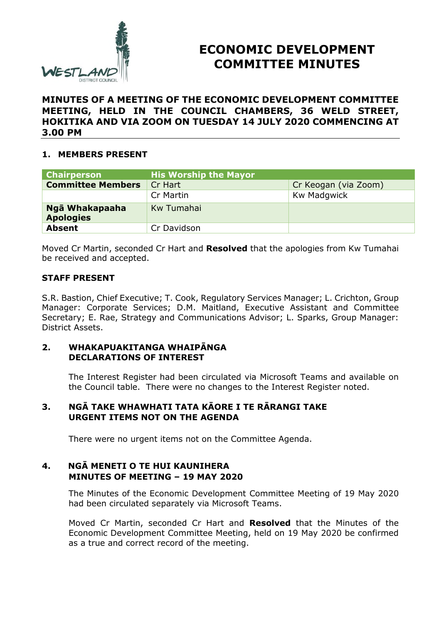

# **ECONOMIC DEVELOPMENT COMMITTEE MINUTES**

#### **MINUTES OF A MEETING OF THE ECONOMIC DEVELOPMENT COMMITTEE MEETING, HELD IN THE COUNCIL CHAMBERS, 36 WELD STREET, HOKITIKA AND VIA ZOOM ON TUESDAY 14 JULY 2020 COMMENCING AT 3.00 PM**

## **1. MEMBERS PRESENT**

| <b>Chairperson</b>                 | <b>His Worship the Mayor</b> |                      |
|------------------------------------|------------------------------|----------------------|
| <b>Committee Members</b>           | Cr Hart                      | Cr Keogan (via Zoom) |
|                                    | Cr Martin                    | Kw Madgwick          |
| Ngā Whakapaaha<br><b>Apologies</b> | Kw Tumahai                   |                      |
| <b>Absent</b>                      | Cr Davidson                  |                      |

Moved Cr Martin, seconded Cr Hart and **Resolved** that the apologies from Kw Tumahai be received and accepted.

#### **STAFF PRESENT**

S.R. Bastion, Chief Executive; T. Cook, Regulatory Services Manager; L. Crichton, Group Manager: Corporate Services; D.M. Maitland, Executive Assistant and Committee Secretary; E. Rae, Strategy and Communications Advisor; L. Sparks, Group Manager: District Assets.

#### **2. WHAKAPUAKITANGA WHAIPĀNGA DECLARATIONS OF INTEREST**

The Interest Register had been circulated via Microsoft Teams and available on the Council table. There were no changes to the Interest Register noted.

## **3. NGĀ TAKE WHAWHATI TATA KĀORE I TE RĀRANGI TAKE URGENT ITEMS NOT ON THE AGENDA**

There were no urgent items not on the Committee Agenda.

## **4. NGĀ MENETI O TE HUI KAUNIHERA MINUTES OF MEETING – 19 MAY 2020**

The Minutes of the Economic Development Committee Meeting of 19 May 2020 had been circulated separately via Microsoft Teams.

Moved Cr Martin, seconded Cr Hart and **Resolved** that the Minutes of the Economic Development Committee Meeting, held on 19 May 2020 be confirmed as a true and correct record of the meeting.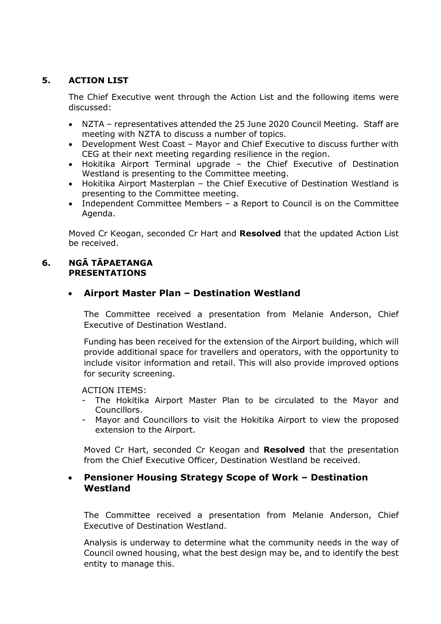## **5. ACTION LIST**

The Chief Executive went through the Action List and the following items were discussed:

- NZTA representatives attended the 25 June 2020 Council Meeting. Staff are meeting with NZTA to discuss a number of topics.
- Development West Coast Mayor and Chief Executive to discuss further with CEG at their next meeting regarding resilience in the region.
- Hokitika Airport Terminal upgrade the Chief Executive of Destination Westland is presenting to the Committee meeting.
- Hokitika Airport Masterplan the Chief Executive of Destination Westland is presenting to the Committee meeting.
- Independent Committee Members a Report to Council is on the Committee Agenda.

Moved Cr Keogan, seconded Cr Hart and **Resolved** that the updated Action List be received.

#### **6. NGĀ TĀPAETANGA PRESENTATIONS**

# **Airport Master Plan – Destination Westland**

The Committee received a presentation from Melanie Anderson, Chief Executive of Destination Westland.

Funding has been received for the extension of the Airport building, which will provide additional space for travellers and operators, with the opportunity to include visitor information and retail. This will also provide improved options for security screening.

ACTION ITEMS:

- The Hokitika Airport Master Plan to be circulated to the Mayor and Councillors.
- Mayor and Councillors to visit the Hokitika Airport to view the proposed extension to the Airport.

Moved Cr Hart, seconded Cr Keogan and **Resolved** that the presentation from the Chief Executive Officer, Destination Westland be received.

## **Pensioner Housing Strategy Scope of Work – Destination Westland**

The Committee received a presentation from Melanie Anderson, Chief Executive of Destination Westland.

Analysis is underway to determine what the community needs in the way of Council owned housing, what the best design may be, and to identify the best entity to manage this.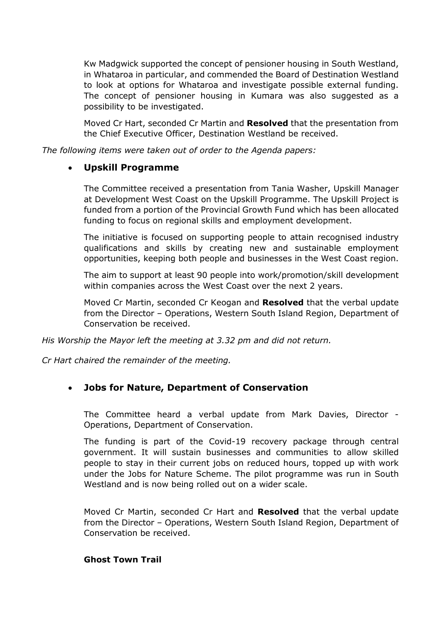Kw Madgwick supported the concept of pensioner housing in South Westland, in Whataroa in particular, and commended the Board of Destination Westland to look at options for Whataroa and investigate possible external funding. The concept of pensioner housing in Kumara was also suggested as a possibility to be investigated.

Moved Cr Hart, seconded Cr Martin and **Resolved** that the presentation from the Chief Executive Officer, Destination Westland be received.

*The following items were taken out of order to the Agenda papers:* 

## **Upskill Programme**

The Committee received a presentation from Tania Washer, Upskill Manager at Development West Coast on the Upskill Programme. The Upskill Project is funded from a portion of the Provincial Growth Fund which has been allocated funding to focus on regional skills and employment development.

The initiative is focused on supporting people to attain recognised industry qualifications and skills by creating new and sustainable employment opportunities, keeping both people and businesses in the West Coast region.

The aim to support at least 90 people into work/promotion/skill development within companies across the West Coast over the next 2 years.

Moved Cr Martin, seconded Cr Keogan and **Resolved** that the verbal update from the Director – Operations, Western South Island Region, Department of Conservation be received.

*His Worship the Mayor left the meeting at 3.32 pm and did not return.* 

*Cr Hart chaired the remainder of the meeting.* 

# **Jobs for Nature, Department of Conservation**

The Committee heard a verbal update from Mark Davies, Director - Operations, Department of Conservation.

The funding is part of the Covid-19 recovery package through central government. It will sustain businesses and communities to allow skilled people to stay in their current jobs on reduced hours, topped up with work under the Jobs for Nature Scheme. The pilot programme was run in South Westland and is now being rolled out on a wider scale.

Moved Cr Martin, seconded Cr Hart and **Resolved** that the verbal update from the Director – Operations, Western South Island Region, Department of Conservation be received.

#### **Ghost Town Trail**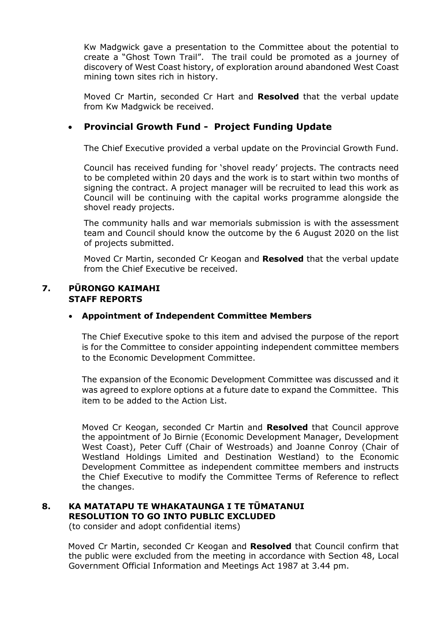Kw Madgwick gave a presentation to the Committee about the potential to create a "Ghost Town Trail". The trail could be promoted as a journey of discovery of West Coast history, of exploration around abandoned West Coast mining town sites rich in history.

Moved Cr Martin, seconded Cr Hart and **Resolved** that the verbal update from Kw Madgwick be received.

# **Provincial Growth Fund - Project Funding Update**

The Chief Executive provided a verbal update on the Provincial Growth Fund.

Council has received funding for 'shovel ready' projects. The contracts need to be completed within 20 days and the work is to start within two months of signing the contract. A project manager will be recruited to lead this work as Council will be continuing with the capital works programme alongside the shovel ready projects.

The community halls and war memorials submission is with the assessment team and Council should know the outcome by the 6 August 2020 on the list of projects submitted.

Moved Cr Martin, seconded Cr Keogan and **Resolved** that the verbal update from the Chief Executive be received.

#### **7. PŪRONGO KAIMAHI STAFF REPORTS**

#### **Appointment of Independent Committee Members**

The Chief Executive spoke to this item and advised the purpose of the report is for the Committee to consider appointing independent committee members to the Economic Development Committee.

The expansion of the Economic Development Committee was discussed and it was agreed to explore options at a future date to expand the Committee. This item to be added to the Action List.

Moved Cr Keogan, seconded Cr Martin and **Resolved** that Council approve the appointment of Jo Birnie (Economic Development Manager, Development West Coast), Peter Cuff (Chair of Westroads) and Joanne Conroy (Chair of Westland Holdings Limited and Destination Westland) to the Economic Development Committee as independent committee members and instructs the Chief Executive to modify the Committee Terms of Reference to reflect the changes.

# **8. KA MATATAPU TE WHAKATAUNGA I TE TŪMATANUI RESOLUTION TO GO INTO PUBLIC EXCLUDED**

(to consider and adopt confidential items)

Moved Cr Martin, seconded Cr Keogan and **Resolved** that Council confirm that the public were excluded from the meeting in accordance with Section 48, Local Government Official Information and Meetings Act 1987 at 3.44 pm.